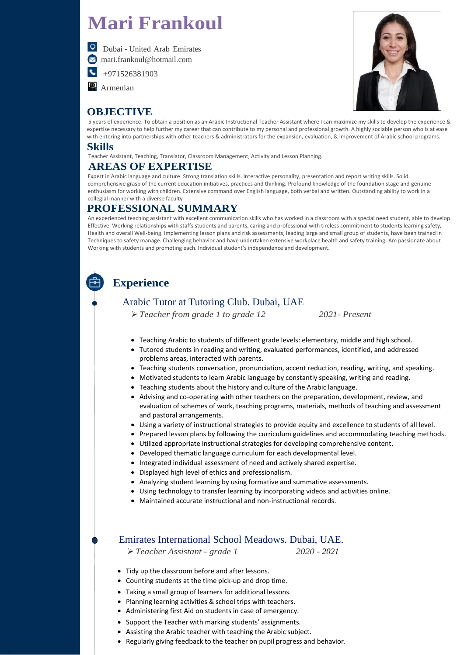.

# **Mari Frankoul**



 $\left| \leftarrow \right|$ 

 Dubai - United Arab Emirates [mari.frankoul@hotmail.com](mailto:mari.frankoul@hotmail.com)

+971526381903

**A** Armenian

# **OBJECTIVE**



5 years of experience. To obtain a position as an Arabic Instructional Teacher Assistant where I can maximize my skills to develop the experience & expertise necessary to help further my career that can contribute to my personal and professional growth. A highly sociable person who is at ease with entering into partnerships with other teachers & administrators for the expansion, evaluation, & improvement of Arabic school programs.

### **Skills**

Teacher Assistant, Teaching, Translator, Classroom Management, Activity and Lesson Planning.

# **AREAS OF EXPERTISE**

Expert in Arabic language and culture. Strong translation skills. Interactive personality, presentation and report writing skills. Solid comprehensive grasp of the current education initiatives, practices and thinking. Profound knowledge of the foundation stage and genuine enthusiasm for working with children. Extensive command over English language, both verbal and written. Outstanding ability to work in a collegial manner with a diverse faculty

# **PROFESSIONAL SUMMARY**

An experienced teaching assistant with excellent communication skills who has worked in a classroom with a special need student, able to develop Effective. Working relationships with staffs students and parents, caring and professional with tireless commitment to students learning safety, Health and overall Well-being. Implementing lesson plans and risk assessments, leading large and small group of students, have been trained in Techniques to safety manage. Challenging behavior and have undertaken extensive workplace health and safety training. Am passionate about Working with students and promoting each. Individual student's independence and development.

# **Experience**

# Arabic Tutor at Tutoring Club. Dubai, UAE

➢*Teacher from grade 1 to grade 12 2021- Present*

- Teaching Arabic to students of different grade levels: elementary, middle and high school.
- Tutored students in reading and writing, evaluated performances, identified, and addressed problems areas, interacted with parents.
- Teaching students conversation, pronunciation, accent reduction, reading, writing, and speaking.
- Motivated students to learn Arabic language by constantly speaking, writing and reading.
- Teaching students about the history and culture of the Arabic language.
- Advising and co-operating with other teachers on the preparation, development, review, and evaluation of schemes of work, teaching programs, materials, methods of teaching and assessment and pastoral arrangements.
- Using a variety of instructional strategies to provide equity and excellence to students of all level.
- Prepared lesson plans by following the curriculum guidelines and accommodating teaching methods.
- Utilized appropriate instructional strategies for developing comprehensive content.
- Developed thematic language curriculum for each developmental level.
- Integrated individual assessment of need and actively shared expertise.
- Displayed high level of ethics and professionalism.
- Analyzing student learning by using formative and summative assessments.
- Using technology to transfer learning by incorporating videos and activities online.
- Maintained accurate instructional and non-instructional records.

#### Emirates International School Meadows. Dubai, UAE.

- ➢*Teacher Assistant - grade 1 2020 - 2021*
- Tidy up the classroom before and after lessons.
- Counting students at the time pick-up and drop time.
- Taking a small group of learners for additional lessons.
- Planning learning activities & school trips with teachers.
- Administering first Aid on students in case of emergency.
- Support the Teacher with marking students' assignments.
- Assisting the Arabic teacher with teaching the Arabic subject.
- Regularly giving feedback to the teacher on pupil progress and behavior.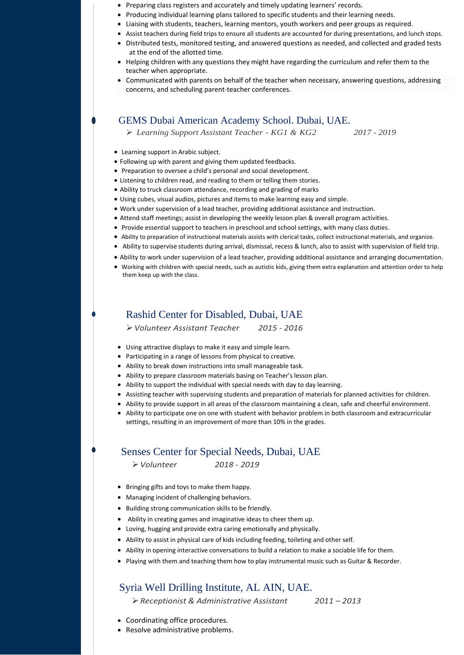- Preparing class registers and accurately and timely updating learners' records.
- Producing individual learning plans tailored to specific students and their learning needs.
- Liaising with students, teachers, learning mentors, youth workers and peer groups as required.
- Assist teachers during field trips to ensure all students are accounted for during presentations, and lunch stops.
- Distributed tests, monitored testing, and answered questions as needed, and collected and graded tests at the end of the allotted time.
- Helping children with any questions they might have regarding the curriculum and refer them to the teacher when appropriate.
- Communicated with parents on behalf of the teacher when necessary, answering questions, addressing concerns, and scheduling parent-teacher conferences.

#### GEMS Dubai American Academy School. Dubai, UAE.

➢ *Learning Support Assistant Teacher - KG1 & KG2 2017 - 2019*

- Learning support in Arabic subject.
- Following up with parent and giving them updated feedbacks.
- Preparation to oversee a child's personal and social development.
- Listening to children read, and reading to them or telling them stories.
- Ability to truck classroom attendance, recording and grading of marks
- Using cubes, visual audios, pictures and items to make learning easy and simple.
- Work under supervision of a lead teacher, providing additional assistance and instruction.
- Attend staff meetings; assist in developing the weekly lesson plan & overall program activities.
- Provide essential support to teachers in preschool and school settings, with many class duties.
- Ability to preparation of instructional materials assists with clerical tasks, collect instructional materials, and organize.
- Ability to supervise students during arrival, dismissal, recess & lunch, also to assist with supervision of field trip.
- Ability to work under supervision of a lead teacher, providing additional assistance and arranging documentation.
- Working with children with special needs, such as autistic kids, giving them extra explanation and attention order to help them keep up with the class.

#### Rashid Center for Disabled, Dubai, UAE

➢*Volunteer Assistant Teacher 2015 - 2016*

- Using attractive displays to make it easy and simple learn.
- Participating in a range of lessons from physical to creative.
- Ability to break down instructions into small manageable task.
- Ability to prepare classroom materials basing on Teacher's lesson plan.
- Ability to support the individual with special needs with day to day learning.
- Assisting teacher with supervising students and preparation of materials for planned activities for children.
- Ability to provide support in all areas of the classroom maintaining a clean, safe and cheerful environment.
- Ability to participate one on one with student with behavior problem in both classroom and extracurricular

settings, resulting in an improvement of more than 10% in the grades.

# Senses Center for Special Needs, Dubai, UAE

➢*Volunteer 2018 - 2019*

- Bringing gifts and toys to make them happy.
- Managing incident of challenging behaviors.
- Building strong communication skills to be friendly.
- Ability in creating games and imaginative ideas to cheer them up.
- Loving, hugging and provide extra caring emotionally and physically.
- Ability to assist in physical care of kids including feeding, toileting and other self.
- Ability in opening interactive conversations to build a relation to make a sociable life for them.
- Playing with them and teaching them how to play instrumental music such as Guitar & Recorder.

## Syria Well Drilling Institute, AL AIN, UAE.

➢*Receptionist & Administrative Assistant 2011 – 2013*

- Coordinating office procedures.
- Resolve administrative problems.